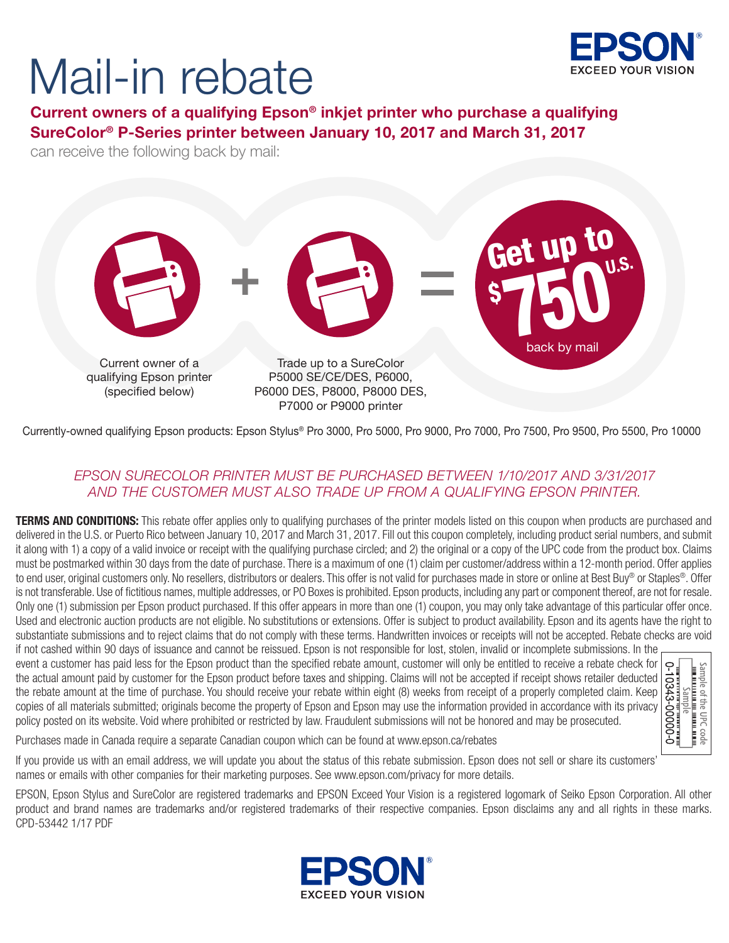

# Mail-in rebate

Current owners of a qualifying Epson® inkjet printer who purchase a qualifying SureColor® P-Series printer between January 10, 2017 and March 31, 2017

can receive the following back by mail:



Currently-owned qualifying Epson products: Epson Stylus® Pro 3000, Pro 5000, Pro 9000, Pro 7000, Pro 7500, Pro 9500, Pro 5500, Pro 10000

### *EPSON SURECOLOR PRINTER MUST BE PURCHASED BETWEEN 1/10/2017 AND 3/31/2017 AND THE CUSTOMER MUST ALSO TRADE UP FROM A QUALIFYING EPSON PRINTER.*

**TERMS AND CONDITIONS:** This rebate offer applies only to qualifying purchases of the printer models listed on this coupon when products are purchased and delivered in the U.S. or Puerto Rico between January 10, 2017 and March 31, 2017. Fill out this coupon completely, including product serial numbers, and submit it along with 1) a copy of a valid invoice or receipt with the qualifying purchase circled; and 2) the original or a copy of the UPC code from the product box. Claims must be postmarked within 30 days from the date of purchase. There is a maximum of one (1) claim per customer/address within a 12-month period. Offer applies to end user, original customers only. No resellers, distributors or dealers. This offer is not valid for purchases made in store or online at Best Buy® or Staples®. Offer is not transferable. Use of fictitious names, multiple addresses, or PO Boxes is prohibited. Epson products, including any part or component thereof, are not for resale. Only one (1) submission per Epson product purchased. If this offer appears in more than one (1) coupon, you may only take advantage of this particular offer once. Used and electronic auction products are not eligible. No substitutions or extensions. Offer is subject to product availability. Epson and its agents have the right to substantiate submissions and to reject claims that do not comply with these terms. Handwritten invoices or receipts will not be accepted. Rebate checks are void if not cashed within 90 days of issuance and cannot be reissued. Epson is not responsible for lost, stolen, invalid or incomplete submissions. In the

event a customer has paid less for the Epson product than the specified rebate amount, customer will only be entitled to receive a rebate check for the actual amount paid by customer for the Epson product before taxes and shipping. Claims will not be accepted if receipt shows retailer deducted the rebate amount at the time of purchase. You should receive your rebate within eight (8) weeks from receipt of a properly completed claim. Keep copies of all materials submitted; originals become the property of Epson and Epson may use the information provided in accordance with its privacy policy posted on its website. Void where prohibited or restricted by law. Fraudulent submissions will not be honored and may be prosecuted.

| Ĵ.<br>J343-UI<br>ς                      |
|-----------------------------------------|
|                                         |
|                                         |
| $\overline{\phantom{a}}$<br>₩<br>⊼<br>õ |

Purchases made in Canada require a separate Canadian coupon which can be found at www.epson.ca/rebates

If you provide us with an email address, we will update you about the status of this rebate submission. Epson does not sell or share its customers' names or emails with other companies for their marketing purposes. See www.epson.com/privacy for more details.

EPSON, Epson Stylus and SureColor are registered trademarks and EPSON Exceed Your Vision is a registered logomark of Seiko Epson Corporation. All other product and brand names are trademarks and/or registered trademarks of their respective companies. Epson disclaims any and all rights in these marks. CPD-53442 1/17 PDF

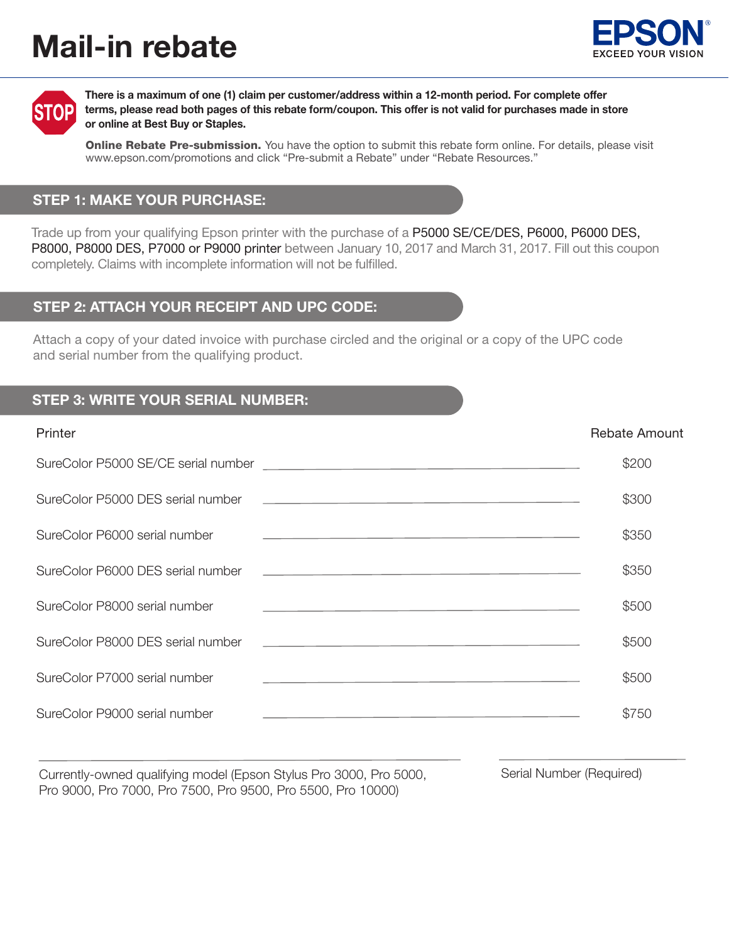# Mail-in rebate





There is a maximum of one (1) claim per customer/address within a 12-month period. For complete offer terms, please read both pages of this rebate form/coupon. This offer is not valid for purchases made in store or online at Best Buy or Staples.

**Online Rebate Pre-submission.** You have the option to submit this rebate form online. For details, please visit www.epson.com/promotions and click "Pre-submit a Rebate" under "Rebate Resources."

#### STEP 1: MAKE YOUR PURCHASE:

Trade up from your qualifying Epson printer with the purchase of a P5000 SE/CE/DES, P6000, P6000 DES, P8000, P8000 DES, P7000 or P9000 printer between January 10, 2017 and March 31, 2017. Fill out this coupon completely. Claims with incomplete information will not be fulfilled.

#### STEP 2: ATTACH YOUR RECEIPT AND UPC CODE:

Attach a copy of your dated invoice with purchase circled and the original or a copy of the UPC code and serial number from the qualifying product.

#### STEP 3: WRITE YOUR SERIAL NUMBER:

#### Printer Rebate Amount Number 2012 12:30 Printer Rebate Amount Number 2013

|                                                                                                                                                                                                                                                                | \$200 |
|----------------------------------------------------------------------------------------------------------------------------------------------------------------------------------------------------------------------------------------------------------------|-------|
|                                                                                                                                                                                                                                                                | \$300 |
| SureColor P6000 serial number<br><u> 1990 - Jan Barbara de Santo de Santo de Santo de Santo de Santo de Santo de Santo de Santo de Santo de Santo </u>                                                                                                         | \$350 |
|                                                                                                                                                                                                                                                                | \$350 |
| SureColor P8000 serial number<br>the control of the control of the control of the control of the control of the control of the control of the control of the control of the control of the control of the control of the control of the control of the control | \$500 |
|                                                                                                                                                                                                                                                                | \$500 |
| SureColor P7000 serial number<br>the control of the control of the control of the control of the control of the control of the control of the control of the control of the control of the control of the control of the control of the control of the control | \$500 |
| SureColor P9000 serial number<br><u> 1989 - Johann Stoff, amerikansk politiker (* 1908)</u>                                                                                                                                                                    | \$750 |

Currently-owned qualifying model (Epson Stylus Pro 3000, Pro 5000, Serial Number (Required) Pro 9000, Pro 7000, Pro 7500, Pro 9500, Pro 5500, Pro 10000)